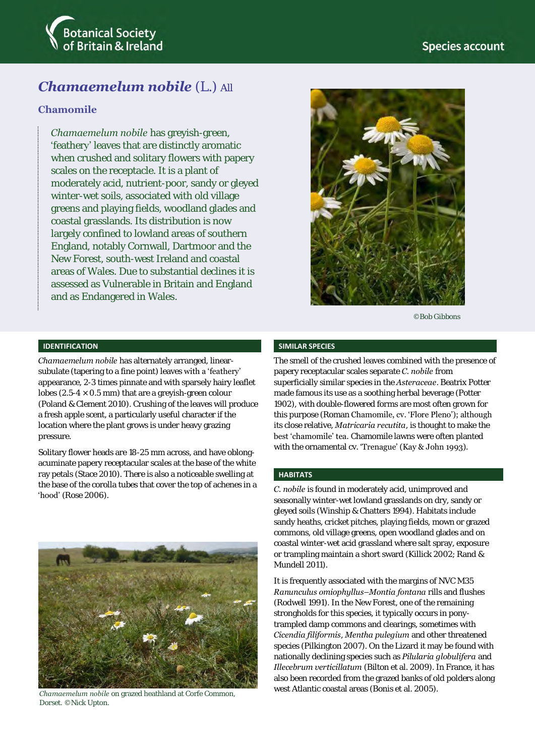

# *Chamaemelum nobile* (L.) All

## **Chamomile**

*Chamaemelum nobile* has greyish-green, 'feathery' leaves that are distinctly aromatic when crushed and solitary flowers with papery scales on the receptacle. It is a plant of moderately acid, nutrient-poor, sandy or gleyed winter-wet soils, associated with old village greens and playing fields, woodland glades and coastal grasslands. Its distribution is now largely confined to lowland areas of southern England, notably Cornwall, Dartmoor and the New Forest, south-west Ireland and coastal areas of Wales. Due to substantial declines it is assessed as Vulnerable in Britain and England and as Endangered in Wales.



©Bob Gibbons

#### **IDENTIFICATION**

*Chamaemelum nobile* has alternately arranged, linearsubulate (tapering to a fine point) leaves with a 'feathery' appearance, 2-3 times pinnate and with sparsely hairy leaflet lobes (2.5-4  $\times$  0.5 mm) that are a greyish-green colour (Poland & Clement 2010). Crushing of the leaves will produce a fresh apple scent, a particularly useful character if the location where the plant grows is under heavy grazing pressure.

Solitary flower heads are 18-25 mm across, and have oblongacuminate papery receptacular scales at the base of the white ray petals (Stace 2010). There is also a noticeable swelling at the base of the corolla tubes that cover the top of achenes in a 'hood' (Rose 2006).



Dorset. ©Nick Upton.

#### **SIMILAR SPECIES**

The smell of the crushed leaves combined with the presence of papery receptacular scales separate *C. nobile* from superficially similar species in the *Asteraceae*. Beatrix Potter made famous its use as a soothing herbal beverage (Potter 1902), with double-flowered forms are most often grown for this purpose (Roman Chamomile, cv. 'Flore Pleno'); although its close relative, *Matricaria recutita*, is thought to make the best 'chamomile' tea. Chamomile lawns were often planted with the ornamental cv. 'Trenague' (Kay & John 1993).

#### **HABITATS**

*C. nobile* is found in moderately acid, unimproved and seasonally winter-wet lowland grasslands on dry, sandy or gleyed soils (Winship & Chatters 1994). Habitats include sandy heaths, cricket pitches, playing fields, mown or grazed commons, old village greens, open woodland glades and on coastal winter-wet acid grassland where salt spray, exposure or trampling maintain a short sward (Killick 2002; Rand & Mundell 2011).

It is frequently associated with the margins of NVC M35 *Ranunculus omiophyllus–Montia fontana* rills and flushes (Rodwell 1991). In the New Forest, one of the remaining strongholds for this species, it typically occurs in ponytrampled damp commons and clearings, sometimes with *Cicendia filiformis*, *Mentha pulegium* and other threatened species (Pilkington 2007). On the Lizard it may be found with nationally declining species such as *Pilularia globulifera* and *Illecebrum verticillatum* (Bilton et al. 2009). In France, it has also been recorded from the grazed banks of old polders along west Atlantic coastal areas (Bonis et al. 2005).<br>
Chamaemelum nobile on grazed heathland at Corfe Common,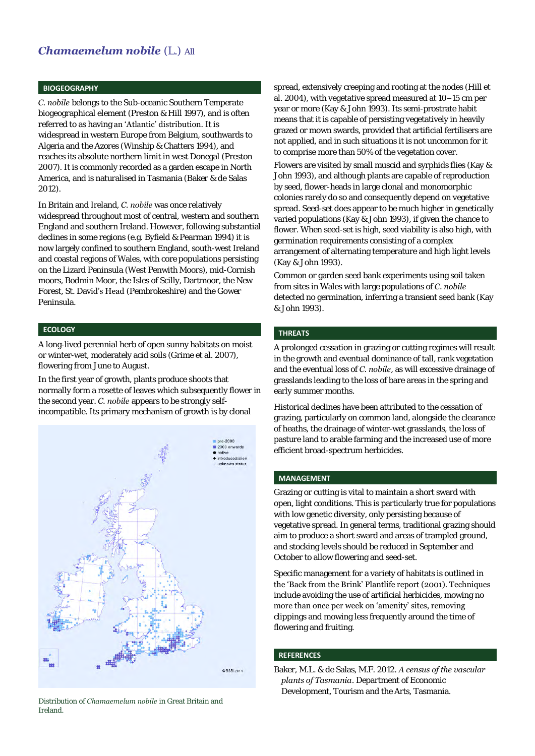## *Chamaemelum nobile* (L.) All

#### **BIOGEOGRAPHY**

*C. nobile* belongs to the Sub-oceanic Southern Temperate biogeographical element (Preston & Hill 1997), and is often referred to as having an 'Atlantic' distribution. It is widespread in western Europe from Belgium, southwards to Algeria and the Azores (Winship & Chatters 1994), and reaches its absolute northern limit in west Donegal (Preston 2007). It is commonly recorded as a garden escape in North America, and is naturalised in Tasmania (Baker & de Salas 2012).

In Britain and Ireland, *C. nobile* was once relatively widespread throughout most of central, western and southern England and southern Ireland. However, following substantial declines in some regions (e.g. Byfield & Pearman 1994) it is now largely confined to southern England, south-west Ireland and coastal regions of Wales, with core populations persisting on the Lizard Peninsula (West Penwith Moors), mid-Cornish moors, Bodmin Moor, the Isles of Scilly, Dartmoor, the New Forest, St. David's Head (Pembrokeshire) and the Gower Peninsula.

#### **ECOLOGY**

A long-lived perennial herb of open sunny habitats on moist or winter-wet, moderately acid soils (Grime et al. 2007), flowering from June to August.

In the first year of growth, plants produce shoots that normally form a rosette of leaves which subsequently flower in the second year. *C. nobile* appears to be strongly selfincompatible. Its primary mechanism of growth is by clonal



Distribution of *Chamaemelum nobile* in Great Britain and Ireland.

spread, extensively creeping and rooting at the nodes (Hill et al. 2004), with vegetative spread measured at 10–15 cm per year or more (Kay & John 1993). Its semi-prostrate habit means that it is capable of persisting vegetatively in heavily grazed or mown swards, provided that artificial fertilisers are not applied, and in such situations it is not uncommon for it to comprise more than 50% of the vegetation cover.

Flowers are visited by small muscid and syrphids flies (Kay & John 1993), and although plants are capable of reproduction by seed, flower-heads in large clonal and monomorphic colonies rarely do so and consequently depend on vegetative spread. Seed-set does appear to be much higher in genetically varied populations (Kay & John 1993), if given the chance to flower. When seed-set is high, seed viability is also high, with germination requirements consisting of a complex arrangement of alternating temperature and high light levels (Kay & John 1993).

Common or garden seed bank experiments using soil taken from sites in Wales with large populations of *C. nobile* detected no germination, inferring a transient seed bank (Kay & John 1993).

## **THREATS**

A prolonged cessation in grazing or cutting regimes will result in the growth and eventual dominance of tall, rank vegetation and the eventual loss of *C. nobile*, as will excessive drainage of grasslands leading to the loss of bare areas in the spring and early summer months.

Historical declines have been attributed to the cessation of grazing, particularly on common land, alongside the clearance of heaths, the drainage of winter-wet grasslands, the loss of pasture land to arable farming and the increased use of more efficient broad-spectrum herbicides.

### **MANAGEMENT**

Grazing or cutting is vital to maintain a short sward with open, light conditions. This is particularly true for populations with low genetic diversity, only persisting because of vegetative spread. In general terms, traditional grazing should aim to produce a short sward and areas of trampled ground, and stocking levels should be reduced in September and October to allow flowering and seed-set.

Specific management for a variety of habitats is outlined in the 'Back from the Brink' Plantlife report (2001). Techniques include avoiding the use of artificial herbicides, mowing no more than once per week on 'amenity' sites, removing clippings and mowing less frequently around the time of flowering and fruiting.

#### **REFERENCES**

Baker, M.L. & de Salas, M.F. 2012. *A census of the vascular plants of Tasmania*. Department of Economic Development, Tourism and the Arts, Tasmania.